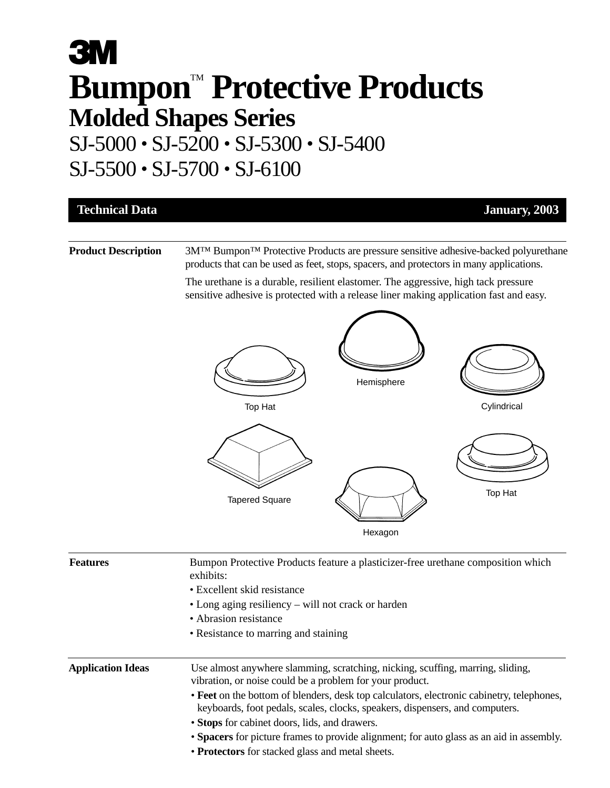# **3M** Bumpon<sup>tM</sup> Protective Products **Molded Shapes Series** SJ-5000 • SJ-5200 • SJ-5300 • SJ-5400

### SJ-5500 • SJ-5700 • SJ-6100

| <b>Technical Data</b>      |                                                                                                                                                                                  | January, 2003 |  |  |  |
|----------------------------|----------------------------------------------------------------------------------------------------------------------------------------------------------------------------------|---------------|--|--|--|
| <b>Product Description</b> | 3MTM BumponTM Protective Products are pressure sensitive adhesive-backed polyurethane<br>products that can be used as feet, stops, spacers, and protectors in many applications. |               |  |  |  |
|                            | The urethane is a durable, resilient elastomer. The aggressive, high tack pressure<br>sensitive adhesive is protected with a release liner making application fast and easy.     |               |  |  |  |
|                            | Hemisphere<br>Cylindrical<br>Top Hat                                                                                                                                             |               |  |  |  |
|                            | Top Hat<br><b>Tapered Square</b>                                                                                                                                                 |               |  |  |  |
|                            | Hexagon                                                                                                                                                                          |               |  |  |  |
| <b>Features</b>            | Bumpon Protective Products feature a plasticizer-free urethane composition which<br>exhibits:<br>• Excellent skid resistance                                                     |               |  |  |  |

- Long aging resiliency will not crack or harden
- Abrasion resistance
- Resistance to marring and staining

| Use almost anywhere slamming, scratching, nicking, scuffing, marring, sliding,<br>vibration, or noise could be a problem for your product.                                |
|---------------------------------------------------------------------------------------------------------------------------------------------------------------------------|
| • Feet on the bottom of blenders, desk top calculators, electronic cabinetry, telephones,<br>keyboards, foot pedals, scales, clocks, speakers, dispensers, and computers. |
| • Stops for cabinet doors, lids, and drawers.                                                                                                                             |
| • Spacers for picture frames to provide alignment; for auto glass as an aid in assembly.                                                                                  |
| • Protectors for stacked glass and metal sheets.                                                                                                                          |
|                                                                                                                                                                           |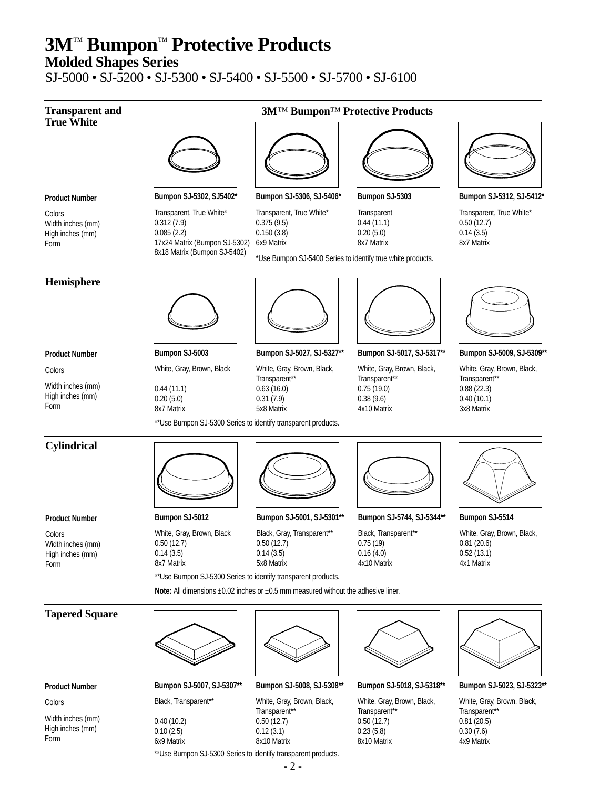**Molded Shapes Series**

SJ-5000 • SJ-5200 • SJ-5300 • SJ-5400 • SJ-5500 • SJ-5700 • SJ-6100



Colors

Width inches (mm) High inches (mm) Form

0.10 (2.5) 6x9 Matrix 0.12 (3.1) 8x10 Matrix

0.40 (10.2)

\*\*Use Bumpon SJ-5300 Series to identify transparent products.

Transparent\*\* 0.50 (12.7) 0.23 (5.8) 8x10 Matrix

Transparent\*\* 0.81 (20.5) 0.30 (7.6) 4x9 Matrix

Transparent\*\* 0.50 (12.7)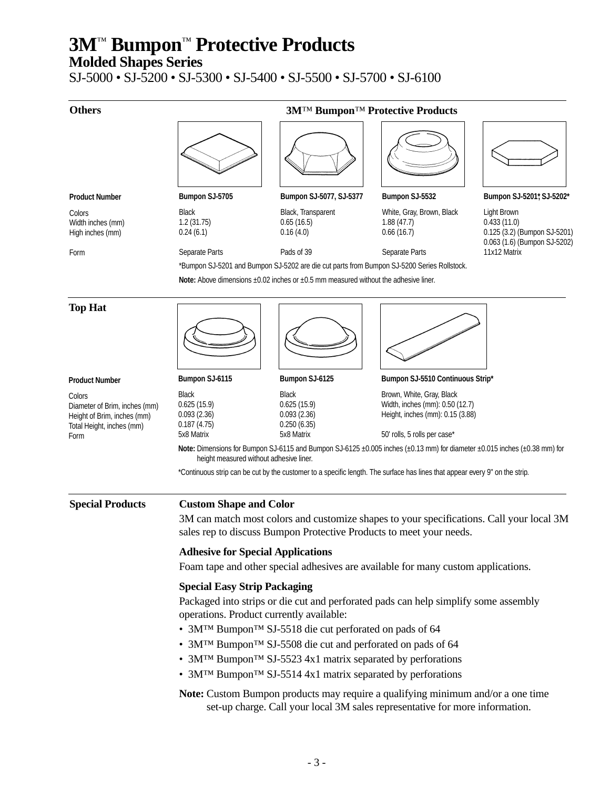**Molded Shapes Series**

SJ-5000 • SJ-5200 • SJ-5300 • SJ-5400 • SJ-5500 • SJ-5700 • SJ-6100

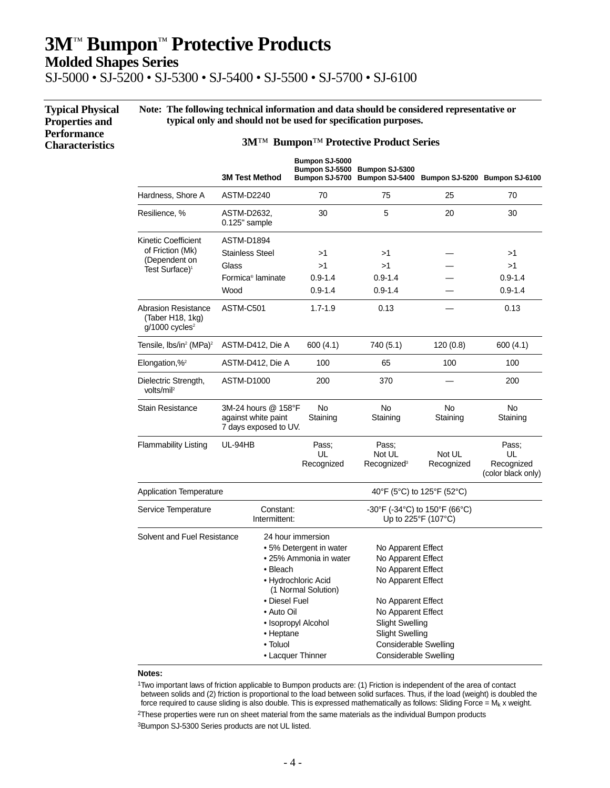**Molded Shapes Series**

**Properties and Performance Characteristics**

SJ-5000 • SJ-5200 • SJ-5300 • SJ-5400 • SJ-5500 • SJ-5700 • SJ-6100

**Typical Physical Note: The following technical information and data should be considered representative or typical only and should not be used for specification purposes.**

#### **3M**™ **Bumpon**™ **Protective Product Series**

|                                                                                                 | <b>3M Test Method</b>                                               | Bumpon SJ-5000<br><b>Bumpon SJ-5500</b><br>Bumpon SJ-5700                                                                                                        | Bumpon SJ-5300                                                                                                                                                                                                                                       | Bumpon SJ-5400 Bumpon SJ-5200 Bumpon SJ-6100 |                           |
|-------------------------------------------------------------------------------------------------|---------------------------------------------------------------------|------------------------------------------------------------------------------------------------------------------------------------------------------------------|------------------------------------------------------------------------------------------------------------------------------------------------------------------------------------------------------------------------------------------------------|----------------------------------------------|---------------------------|
| Hardness, Shore A                                                                               | ASTM-D2240                                                          | 70                                                                                                                                                               | 75                                                                                                                                                                                                                                                   | 25                                           | 70                        |
| Resilience, %                                                                                   | ASTM-D2632,<br>0.125" sample                                        | 30                                                                                                                                                               | 5                                                                                                                                                                                                                                                    | 20                                           | 30                        |
| Kinetic Coefficient                                                                             | ASTM-D1894                                                          |                                                                                                                                                                  |                                                                                                                                                                                                                                                      |                                              |                           |
| of Friction (Mk)                                                                                | <b>Stainless Steel</b>                                              | >1                                                                                                                                                               | >1                                                                                                                                                                                                                                                   |                                              | >1                        |
| (Dependent on<br>Test Surface) <sup>1</sup>                                                     | Glass                                                               | >1                                                                                                                                                               | >1                                                                                                                                                                                                                                                   |                                              | >1                        |
|                                                                                                 | Formica <sup>®</sup> laminate                                       | $0.9 - 1.4$                                                                                                                                                      | $0.9 - 1.4$                                                                                                                                                                                                                                          |                                              | $0.9 - 1.4$               |
|                                                                                                 | Wood                                                                | $0.9 - 1.4$                                                                                                                                                      | $0.9 - 1.4$                                                                                                                                                                                                                                          |                                              | $0.9 - 1.4$               |
| <b>Abrasion Resistance</b><br>(Taber H18, 1kg)<br>$q/1000$ cycles <sup>2</sup>                  | ASTM-C501                                                           | $1.7 - 1.9$                                                                                                                                                      | 0.13                                                                                                                                                                                                                                                 |                                              | 0.13                      |
| Tensile, $lbs/in^2$ (MPa) <sup>2</sup>                                                          | ASTM-D412, Die A                                                    | 600 (4.1)                                                                                                                                                        | 740 (5.1)                                                                                                                                                                                                                                            | 120(0.8)                                     | 600 (4.1)                 |
| Elongation, $\frac{1}{2}$                                                                       | ASTM-D412, Die A                                                    | 100                                                                                                                                                              | 65                                                                                                                                                                                                                                                   | 100                                          | 100                       |
| Dielectric Strength,<br>volts/mil <sup>2</sup>                                                  | ASTM-D1000                                                          | 200                                                                                                                                                              | 370                                                                                                                                                                                                                                                  |                                              | 200                       |
| <b>Stain Resistance</b>                                                                         | 3M-24 hours @ 158°F<br>against white paint<br>7 days exposed to UV. | No<br>Staining                                                                                                                                                   | No<br>Staining                                                                                                                                                                                                                                       | No<br>Staining                               | <b>No</b><br>Staining     |
| <b>Flammability Listing</b>                                                                     | UL-94HB                                                             | Pass:<br>UL<br>Recognized                                                                                                                                        | Pass:<br>Not UL<br>Recognized <sup>3</sup>                                                                                                                                                                                                           | Not UL<br>Recognized                         | Pass:<br>UL<br>Recognized |
|                                                                                                 |                                                                     |                                                                                                                                                                  |                                                                                                                                                                                                                                                      |                                              | (color black only)        |
| <b>Application Temperature</b>                                                                  |                                                                     |                                                                                                                                                                  |                                                                                                                                                                                                                                                      | 40°F (5°C) to 125°F (52°C)                   |                           |
| Service Temperature                                                                             | Constant:<br>Intermittent:                                          |                                                                                                                                                                  | -30°F (-34°C) to 150°F (66°C)<br>Up to $225^{\circ}F(107^{\circ}C)$                                                                                                                                                                                  |                                              |                           |
| Solvent and Fuel Resistance<br>• Bleach<br>• Diesel Fuel<br>• Auto Oil<br>• Heptane<br>• Toluol |                                                                     | 24 hour immersion<br>• 5% Detergent in water<br>• 25% Ammonia in water<br>• Hydrochloric Acid<br>(1 Normal Solution)<br>• Isopropyl Alcohol<br>• Lacquer Thinner | No Apparent Effect<br>No Apparent Effect<br>No Apparent Effect<br>No Apparent Effect<br>No Apparent Effect<br>No Apparent Effect<br><b>Slight Swelling</b><br><b>Slight Swelling</b><br><b>Considerable Swelling</b><br><b>Considerable Swelling</b> |                                              |                           |

#### **Notes:**

1Two important laws of friction applicable to Bumpon products are: (1) Friction is independent of the area of contact between solids and (2) friction is proportional to the load between solid surfaces. Thus, if the load (weight) is doubled the force required to cause sliding is also double. This is expressed mathematically as follows: Sliding Force =  $M_k$  x weight.

2These properties were run on sheet material from the same materials as the individual Bumpon products

3Bumpon SJ-5300 Series products are not UL listed.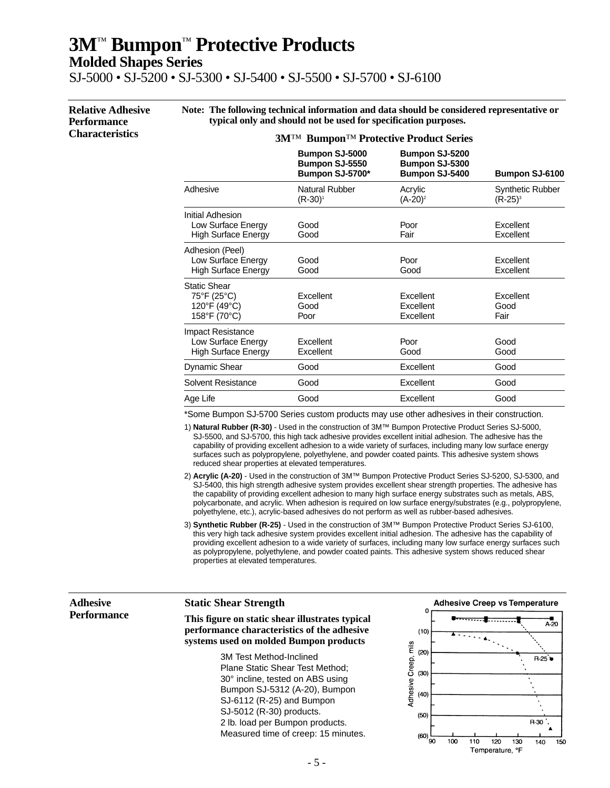**Molded Shapes Series**

SJ-5000 • SJ-5200 • SJ-5300 • SJ-5400 • SJ-5500 • SJ-5700 • SJ-6100

**Relative Adhesive Performance Characteristics Note: The following technical information and data should be considered representative or typical only and should not be used for specification purposes. 3M**™ **Bumpon**™ **Protective Product Series**

|                                                                              | $\boldsymbol{\nu}$ umpon<br>110iccuve 110uuci belies |                                                           |                                       |  |
|------------------------------------------------------------------------------|------------------------------------------------------|-----------------------------------------------------------|---------------------------------------|--|
|                                                                              | Bumpon SJ-5000<br>Bumpon SJ-5550<br>Bumpon SJ-5700*  | <b>Bumpon SJ-5200</b><br>Bumpon SJ-5300<br>Bumpon SJ-5400 | Bumpon SJ-6100                        |  |
| Adhesive                                                                     | Natural Rubber<br>$(R-30)^1$                         | Acrylic<br>$(A-20)^2$                                     | <b>Synthetic Rubber</b><br>$(R-25)^3$ |  |
| Initial Adhesion<br>Low Surface Energy<br><b>High Surface Energy</b>         | Good<br>Good                                         | Poor<br>Fair                                              | Excellent<br>Excellent                |  |
| Adhesion (Peel)<br>Low Surface Energy<br><b>High Surface Energy</b>          | Good<br>Good                                         | Poor<br>Good                                              | Excellent<br>Excellent                |  |
| <b>Static Shear</b><br>75°F (25°C)<br>120°F (49°C)<br>158°F (70°C)           | Excellent<br>Good<br>Poor                            | <b>Excellent</b><br>Excellent<br>Excellent                | Excellent<br>Good<br>Fair             |  |
| <b>Impact Resistance</b><br>Low Surface Energy<br><b>High Surface Energy</b> | Excellent<br>Excellent                               | Poor<br>Good                                              | Good<br>Good                          |  |
| Dynamic Shear                                                                | Good                                                 | Excellent                                                 | Good                                  |  |
| Solvent Resistance                                                           | Good                                                 | Excellent                                                 | Good                                  |  |
| Age Life                                                                     | Good                                                 | Excellent                                                 | Good                                  |  |

\*Some Bumpon SJ-5700 Series custom products may use other adhesives in their construction.

1) **Natural Rubber (R-30)** - Used in the construction of 3M™ Bumpon Protective Product Series SJ-5000, SJ-5500, and SJ-5700, this high tack adhesive provides excellent initial adhesion. The adhesive has the capability of providing excellent adhesion to a wide variety of surfaces, including many low surface energy surfaces such as polypropylene, polyethylene, and powder coated paints. This adhesive system shows reduced shear properties at elevated temperatures.

- 2) **Acrylic (A-20)** Used in the construction of 3M™ Bumpon Protective Product Series SJ-5200, SJ-5300, and SJ-5400, this high strength adhesive system provides excellent shear strength properties. The adhesive has the capability of providing excellent adhesion to many high surface energy substrates such as metals, ABS, polycarbonate, and acrylic. When adhesion is required on low surface energy/substrates (e.g., polypropylene, polyethylene, etc.), acrylic-based adhesives do not perform as well as rubber-based adhesives.
- 3) **Synthetic Rubber (R-25)** Used in the construction of 3M™ Bumpon Protective Product Series SJ-6100, this very high tack adhesive system provides excellent initial adhesion. The adhesive has the capability of providing excellent adhesion to a wide variety of surfaces, including many low surface energy surfaces such as polypropylene, polyethylene, and powder coated paints. This adhesive system shows reduced shear properties at elevated temperatures.

#### **Adhesive Performance**

#### **Static Shear Strength**

**This figure on static shear illustrates typical performance characteristics of the adhesive systems used on molded Bumpon products**

> 3M Test Method-Inclined Plane Static Shear Test Method; 30° incline, tested on ABS using Bumpon SJ-5312 (A-20), Bumpon SJ-6112 (R-25) and Bumpon SJ-5012 (R-30) products. 2 lb. load per Bumpon products. Measured time of creep: 15 minutes.

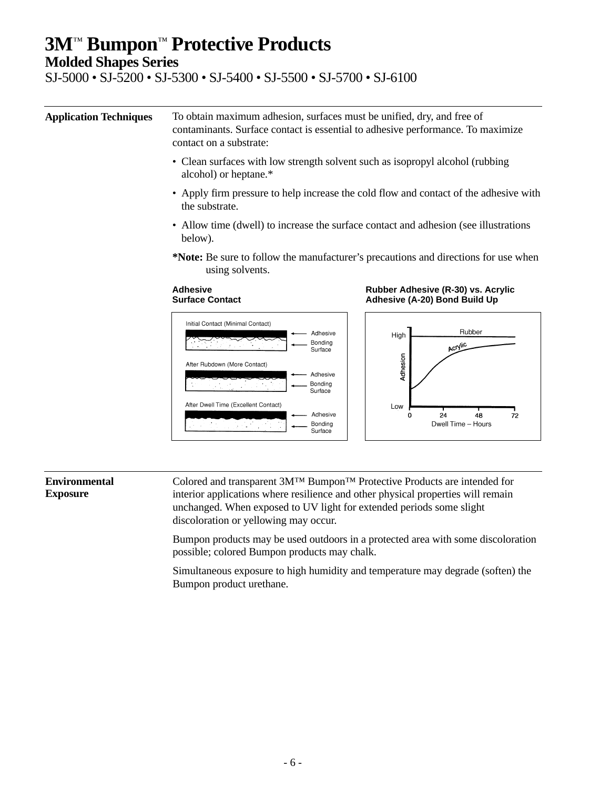**Molded Shapes Series**

SJ-5000 • SJ-5200 • SJ-5300 • SJ-5400 • SJ-5500 • SJ-5700 • SJ-6100

**Application Techniques** To obtain maximum adhesion, surfaces must be unified, dry, and free of contaminants. Surface contact is essential to adhesive performance. To maximize contact on a substrate:

- Clean surfaces with low strength solvent such as isopropyl alcohol (rubbing alcohol) or heptane.\*
- Apply firm pressure to help increase the cold flow and contact of the adhesive with the substrate.
- Allow time (dwell) to increase the surface contact and adhesion (see illustrations below).
- **\*Note:** Be sure to follow the manufacturer's precautions and directions for use when using solvents.

#### **Adhesive Surface Contact**





#### **Environmental Exposure**

Colored and transparent 3M™ Bumpon™ Protective Products are intended for interior applications where resilience and other physical properties will remain unchanged. When exposed to UV light for extended periods some slight discoloration or yellowing may occur.

Bumpon products may be used outdoors in a protected area with some discoloration possible; colored Bumpon products may chalk.

Simultaneous exposure to high humidity and temperature may degrade (soften) the Bumpon product urethane.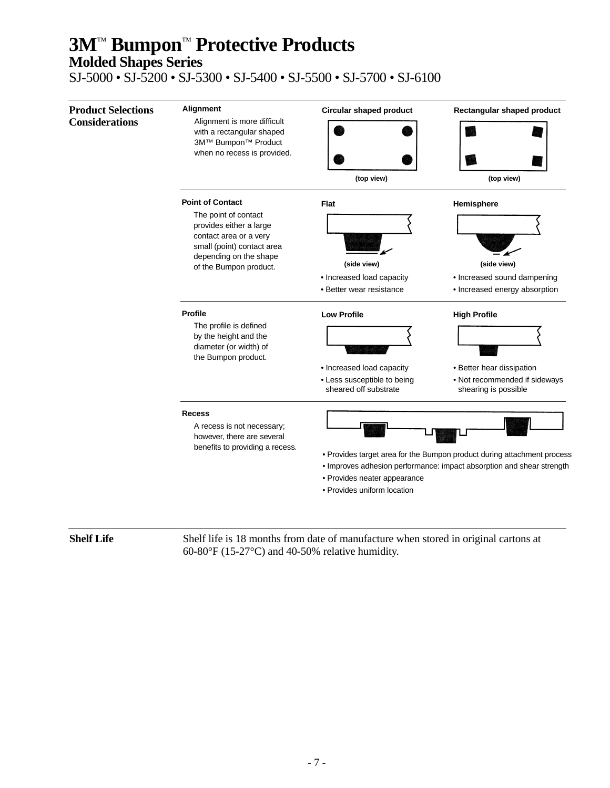### **Molded Shapes Series**

SJ-5000 • SJ-5200 • SJ-5300 • SJ-5400 • SJ-5500 • SJ-5700 • SJ-6100



**Shelf Life** Shelf life is 18 months from date of manufacture when stored in original cartons at 60-80 $\mathrm{^{\circ}F}$  (15-27 $\mathrm{^{\circ}C}$ ) and 40-50% relative humidity.